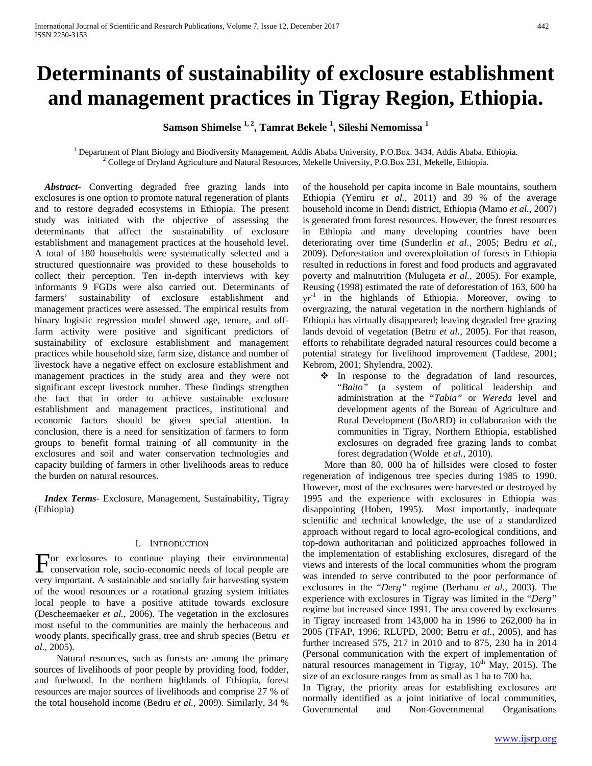# **Determinants of sustainability of exclosure establishment and management practices in Tigray Region, Ethiopia.**

**Samson Shimelse 1, 2, Tamrat Bekele 1 , Sileshi Nemomissa <sup>1</sup>**

<sup>1</sup> Department of Plant Biology and Biodiversity Management, Addis Ababa University, P.O.Box. 3434, Addis Ababa, Ethiopia.<br><sup>2</sup> College of Dryland Agriculture and Natural Resources, Mekelle University, P.O.Box 231, Mekelle

 *Abstract***-** Converting degraded free grazing lands into exclosures is one option to promote natural regeneration of plants and to restore degraded ecosystems in Ethiopia. The present study was initiated with the objective of assessing the determinants that affect the sustainability of exclosure establishment and management practices at the household level. A total of 180 households were systematically selected and a structured questionnaire was provided to these households to collect their perception. Ten in-depth interviews with key informants 9 FGDs were also carried out. Determinants of farmers' sustainability of exclosure establishment and management practices were assessed. The empirical results from binary logistic regression model showed age, tenure, and offfarm activity were positive and significant predictors of sustainability of exclosure establishment and management practices while household size, farm size, distance and number of livestock have a negative effect on exclosure establishment and management practices in the study area and they were not significant except livestock number. These findings strengthen the fact that in order to achieve sustainable exclosure establishment and management practices, institutional and economic factors should be given special attention. In conclusion, there is a need for sensitization of farmers to form groups to benefit formal training of all community in the exclosures and soil and water conservation technologies and capacity building of farmers in other livelihoods areas to reduce the burden on natural resources.

 *Index Terms*- Exclosure, Management, Sustainability, Tigray (Ethiopia)

# I. INTRODUCTION

or exclosures to continue playing their environmental For exclosures to continue playing their environmental conservation role, socio-economic needs of local people are very important. A sustainable and socially fair harvesting system of the wood resources or a rotational grazing system initiates local people to have a positive attitude towards exclosure (Descheemaeker *et al.,* 2006). The vegetation in the exclosures most useful to the communities are mainly the herbaceous and woody plants, specifically grass, tree and shrub species (Betru *et al.,* 2005).

 Natural resources, such as forests are among the primary sources of livelihoods of poor people by providing food, fodder, and fuelwood. In the northern highlands of Ethiopia, forest resources are major sources of livelihoods and comprise 27 % of the total household income (Bedru *et al.,* 2009). Similarly, 34 %

of the household per capita income in Bale mountains, southern Ethiopia (Yemiru *et al.,* 2011) and 39 % of the average household income in Dendi district, Ethiopia (Mamo *et al.,* 2007) is generated from forest resources. However, the forest resources in Ethiopia and many developing countries have been deteriorating over time (Sunderlin *et al.,* 2005; Bedru *et al.,*  2009). Deforestation and overexploitation of forests in Ethiopia resulted in reductions in forest and food products and aggravated poverty and malnutrition (Mulugeta *et al.,* 2005). For example, Reusing (1998) estimated the rate of deforestation of 163, 600 ha  $yr<sup>-1</sup>$  in the highlands of Ethiopia. Moreover, owing to overgrazing, the natural vegetation in the northern highlands of Ethiopia has virtually disappeared; leaving degraded free grazing lands devoid of vegetation (Betru *et al.,* 2005). For that reason, efforts to rehabilitate degraded natural resources could become a potential strategy for livelihood improvement (Taddese, 2001; Kebrom, 2001; Shylendra, 2002).

 $\div$  In response to the degradation of land resources, "*Baito"* (a system of political leadership and administration at the "*Tabia"* or *Wereda* level and development agents of the Bureau of Agriculture and Rural Development (BoARD) in collaboration with the communities in Tigray, Northern Ethiopia, established exclosures on degraded free grazing lands to combat forest degradation (Wolde *et al.,* 2010).

 More than 80, 000 ha of hillsides were closed to foster regeneration of indigenous tree species during 1985 to 1990. However, most of the exclosures were harvested or destroyed by 1995 and the experience with exclosures in Ethiopia was disappointing (Hoben, 1995). Most importantly, inadequate scientific and technical knowledge, the use of a standardized approach without regard to local agro-ecological conditions, and top-down authoritarian and politicized approaches followed in the implementation of establishing exclosures, disregard of the views and interests of the local communities whom the program was intended to serve contributed to the poor performance of exclosures in the "*Derg"* regime (Berhanu *et al.,* 2003). The experience with exclosures in Tigray was limited in the "*Derg"* regime but increased since 1991. The area covered by exclosures in Tigray increased from 143,000 ha in 1996 to 262,000 ha in 2005 (TFAP, 1996; RLUPD, 2000; Betru *et al.,* 2005), and has further increased 575, 217 in 2010 and to 875, 230 ha in 2014 (Personal communication with the expert of implementation of natural resources management in Tigray,  $10<sup>th</sup>$  May, 2015). The size of an exclosure ranges from as small as 1 ha to 700 ha.

In Tigray, the priority areas for establishing exclosures are normally identified as a joint initiative of local communities, Governmental and Non-Governmental Organisations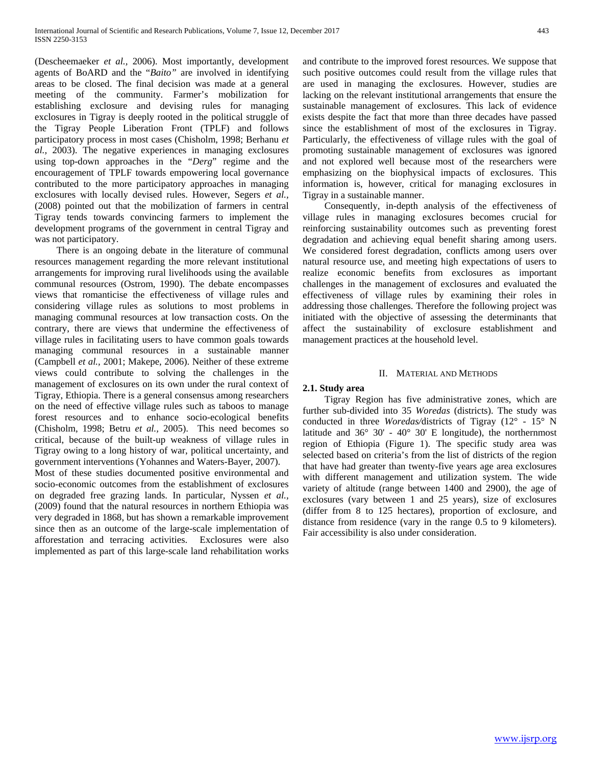(Descheemaeker *et al.,* 2006). Most importantly, development agents of BoARD and the "*Baito"* are involved in identifying areas to be closed. The final decision was made at a general meeting of the community. Farmer's mobilization for establishing exclosure and devising rules for managing exclosures in Tigray is deeply rooted in the political struggle of the Tigray People Liberation Front (TPLF) and follows participatory process in most cases (Chisholm, 1998; Berhanu *et al.,* 2003). The negative experiences in managing exclosures using top-down approaches in the "*Derg*" regime and the encouragement of TPLF towards empowering local governance contributed to the more participatory approaches in managing exclosures with locally devised rules. However, Segers *et al.,* (2008) pointed out that the mobilization of farmers in central Tigray tends towards convincing farmers to implement the development programs of the government in central Tigray and was not participatory.

 There is an ongoing debate in the literature of communal resources management regarding the more relevant institutional arrangements for improving rural livelihoods using the available communal resources (Ostrom, 1990). The debate encompasses views that romanticise the effectiveness of village rules and considering village rules as solutions to most problems in managing communal resources at low transaction costs. On the contrary, there are views that undermine the effectiveness of village rules in facilitating users to have common goals towards managing communal resources in a sustainable manner (Campbell *et al.,* 2001; Makepe, 2006). Neither of these extreme views could contribute to solving the challenges in the management of exclosures on its own under the rural context of Tigray, Ethiopia. There is a general consensus among researchers on the need of effective village rules such as taboos to manage forest resources and to enhance socio-ecological benefits (Chisholm, 1998; Betru *et al.,* 2005). This need becomes so critical, because of the built-up weakness of village rules in Tigray owing to a long history of war, political uncertainty, and government interventions (Yohannes and Waters-Bayer, 2007).

Most of these studies documented positive environmental and socio-economic outcomes from the establishment of exclosures on degraded free grazing lands. In particular, Nyssen *et al.,* (2009) found that the natural resources in northern Ethiopia was very degraded in 1868, but has shown a remarkable improvement since then as an outcome of the large-scale implementation of afforestation and terracing activities. Exclosures were also implemented as part of this large-scale land rehabilitation works and contribute to the improved forest resources. We suppose that such positive outcomes could result from the village rules that are used in managing the exclosures. However, studies are lacking on the relevant institutional arrangements that ensure the sustainable management of exclosures. This lack of evidence exists despite the fact that more than three decades have passed since the establishment of most of the exclosures in Tigray. Particularly, the effectiveness of village rules with the goal of promoting sustainable management of exclosures was ignored and not explored well because most of the researchers were emphasizing on the biophysical impacts of exclosures. This information is, however, critical for managing exclosures in Tigray in a sustainable manner.

 Consequently, in-depth analysis of the effectiveness of village rules in managing exclosures becomes crucial for reinforcing sustainability outcomes such as preventing forest degradation and achieving equal benefit sharing among users. We considered forest degradation, conflicts among users over natural resource use, and meeting high expectations of users to realize economic benefits from exclosures as important challenges in the management of exclosures and evaluated the effectiveness of village rules by examining their roles in addressing those challenges. Therefore the following project was initiated with the objective of assessing the determinants that affect the sustainability of exclosure establishment and management practices at the household level.

#### II. MATERIAL AND METHODS

# **2.1. Study area**

 Tigray Region has five administrative zones, which are further sub-divided into 35 *Woredas* (districts). The study was conducted in three *Woredas/*districts of Tigray (12° - 15° N latitude and 36° 30' - 40° 30' E longitude), the northernmost region of Ethiopia (Figure 1). The specific study area was selected based on criteria's from the list of districts of the region that have had greater than twenty-five years age area exclosures with different management and utilization system. The wide variety of altitude (range between 1400 and 2900), the age of exclosures (vary between 1 and 25 years), size of exclosures (differ from 8 to 125 hectares), proportion of exclosure, and distance from residence (vary in the range 0.5 to 9 kilometers). Fair accessibility is also under consideration.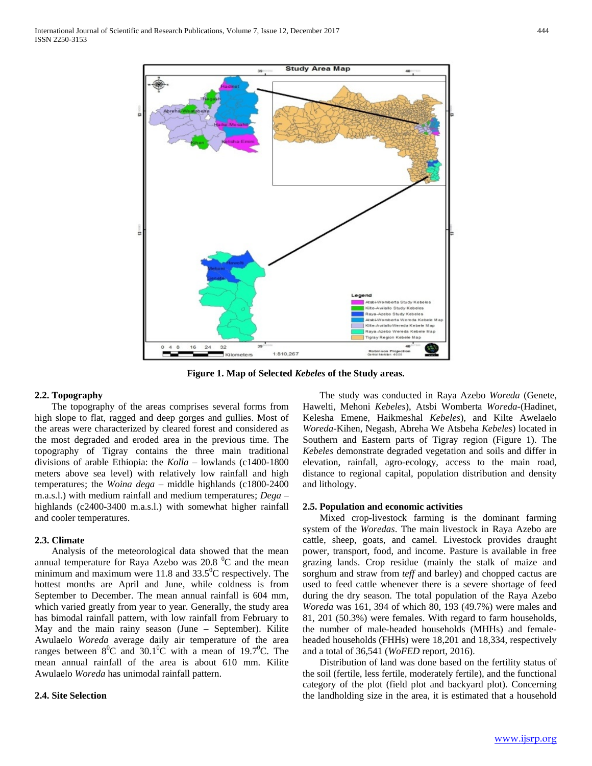

**Figure 1. Map of Selected** *Kebeles* **of the Study areas.**

### **2.2. Topography**

 The topography of the areas comprises several forms from high slope to flat, ragged and deep gorges and gullies. Most of the areas were characterized by cleared forest and considered as the most degraded and eroded area in the previous time. The topography of Tigray contains the three main traditional divisions of arable Ethiopia: the *Kolla* – lowlands (c1400-1800 meters above sea level) with relatively low rainfall and high temperatures; the *Woina dega* – middle highlands (c1800-2400 m.a.s.l.) with medium rainfall and medium temperatures; *Dega* – highlands (c2400-3400 m.a.s.l.) with somewhat higher rainfall and cooler temperatures.

### **2.3. Climate**

 Analysis of the meteorological data showed that the mean annual temperature for Raya Azebo was  $20.8\text{ °C}$  and the mean minimum and maximum were 11.8 and  $33.5^{\circ}$ C respectively. The hottest months are April and June, while coldness is from September to December. The mean annual rainfall is 604 mm, which varied greatly from year to year. Generally, the study area has bimodal rainfall pattern, with low rainfall from February to May and the main rainy season (June – September). Kilite Awulaelo *Woreda* average daily air temperature of the area ranges between  $8^0C$  and  $30.1^0C$  with a mean of 19.7<sup>0</sup>C. The mean annual rainfall of the area is about 610 mm. Kilite Awulaelo *Woreda* has unimodal rainfall pattern.

#### **2.4. Site Selection**

 The study was conducted in Raya Azebo *Woreda* (Genete, Hawelti, Mehoni *Kebeles*), Atsbi Womberta *Woreda*-(Hadinet, Kelesha Emene, Haikmeshal *Kebeles*), and Kilte Awelaelo *Woreda*-Kihen, Negash, Abreha We Atsbeha *Kebeles*) located in Southern and Eastern parts of Tigray region (Figure 1). The *Kebeles* demonstrate degraded vegetation and soils and differ in elevation, rainfall, agro-ecology, access to the main road, distance to regional capital, population distribution and density and lithology.

#### **2.5. Population and economic activities**

 Mixed crop-livestock farming is the dominant farming system of the *Woredas*. The main livestock in Raya Azebo are cattle, sheep, goats, and camel. Livestock provides draught power, transport, food, and income. Pasture is available in free grazing lands. Crop residue (mainly the stalk of maize and sorghum and straw from *teff* and barley) and chopped cactus are used to feed cattle whenever there is a severe shortage of feed during the dry season. The total population of the Raya Azebo *Woreda* was 161, 394 of which 80, 193 (49.7%) were males and 81, 201 (50.3%) were females. With regard to farm households, the number of male-headed households (MHHs) and femaleheaded households (FHHs) were 18,201 and 18,334, respectively and a total of 36,541 (*WoFED* report, 2016).

 Distribution of land was done based on the fertility status of the soil (fertile, less fertile, moderately fertile), and the functional category of the plot (field plot and backyard plot). Concerning the landholding size in the area, it is estimated that a household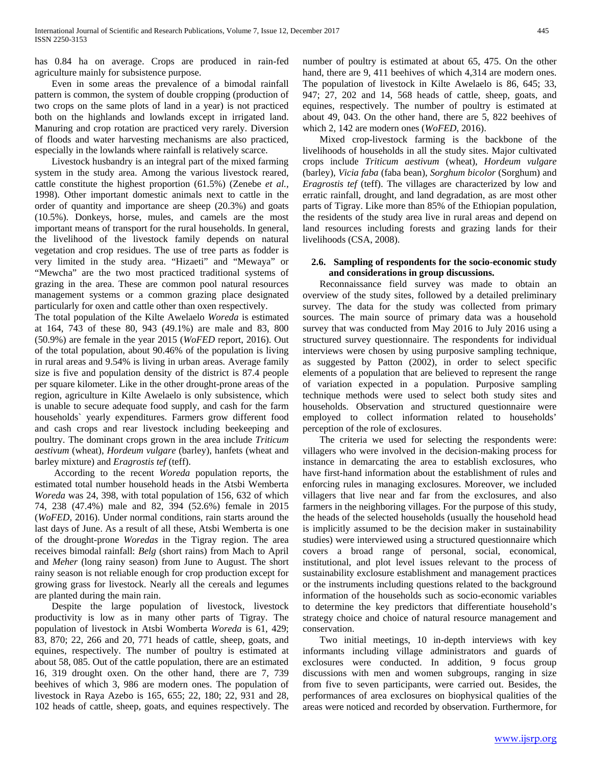has 0.84 ha on average. Crops are produced in rain-fed agriculture mainly for subsistence purpose.

 Even in some areas the prevalence of a bimodal rainfall pattern is common, the system of double cropping (production of two crops on the same plots of land in a year) is not practiced both on the highlands and lowlands except in irrigated land. Manuring and crop rotation are practiced very rarely. Diversion of floods and water harvesting mechanisms are also practiced, especially in the lowlands where rainfall is relatively scarce.

 Livestock husbandry is an integral part of the mixed farming system in the study area. Among the various livestock reared, cattle constitute the highest proportion (61.5%) (Zenebe *et al.,* 1998). Other important domestic animals next to cattle in the order of quantity and importance are sheep (20.3%) and goats (10.5%). Donkeys, horse, mules, and camels are the most important means of transport for the rural households. In general, the livelihood of the livestock family depends on natural vegetation and crop residues. The use of tree parts as fodder is very limited in the study area. "Hizaeti" and "Mewaya" or "Mewcha" are the two most practiced traditional systems of grazing in the area. These are common pool natural resources management systems or a common grazing place designated particularly for oxen and cattle other than oxen respectively.

The total population of the Kilte Awelaelo *Woreda* is estimated at 164, 743 of these 80, 943 (49.1%) are male and 83, 800 (50.9%) are female in the year 2015 (*WoFED* report, 2016). Out of the total population, about 90.46% of the population is living in rural areas and 9.54% is living in urban areas. Average family size is five and population density of the district is 87.4 people per square kilometer. Like in the other drought-prone areas of the region, agriculture in Kilte Awelaelo is only subsistence, which is unable to secure adequate food supply, and cash for the farm households` yearly expenditures. Farmers grow different food and cash crops and rear livestock including beekeeping and poultry. The dominant crops grown in the area include *Triticum aestivum* (wheat), *Hordeum vulgare* (barley), hanfets (wheat and barley mixture) and *Eragrostis tef* (teff).

 According to the recent *Woreda* population reports, the estimated total number household heads in the Atsbi Wemberta *Woreda* was 24, 398, with total population of 156, 632 of which 74, 238 (47.4%) male and 82, 394 (52.6%) female in 2015 (*WoFED,* 2016). Under normal conditions, rain starts around the last days of June. As a result of all these, Atsbi Wemberta is one of the drought-prone *Woredas* in the Tigray region. The area receives bimodal rainfall: *Belg* (short rains) from Mach to April and *Meher* (long rainy season) from June to August. The short rainy season is not reliable enough for crop production except for growing grass for livestock. Nearly all the cereals and legumes are planted during the main rain.

 Despite the large population of livestock*,* livestock productivity is low as in many other parts of Tigray. The population of livestock in Atsbi Womberta *Woreda* is 61, 429; 83, 870; 22, 266 and 20, 771 heads of cattle, sheep, goats, and equines, respectively. The number of poultry is estimated at about 58, 085. Out of the cattle population, there are an estimated 16, 319 drought oxen. On the other hand, there are 7, 739 beehives of which 3, 986 are modern ones. The population of livestock in Raya Azebo is 165, 655; 22, 180; 22, 931 and 28, 102 heads of cattle, sheep, goats, and equines respectively. The

number of poultry is estimated at about 65, 475. On the other hand, there are 9, 411 beehives of which 4,314 are modern ones. The population of livestock in Kilte Awelaelo is 86, 645; 33, 947; 27, 202 and 14, 568 heads of cattle, sheep, goats, and equines, respectively. The number of poultry is estimated at about 49, 043. On the other hand, there are 5, 822 beehives of which 2, 142 are modern ones (*WoFED*, 2016).

 Mixed crop-livestock farming is the backbone of the livelihoods of households in all the study sites. Major cultivated crops include *Triticum aestivum* (wheat), *Hordeum vulgare* (barley), *Vicia faba* (faba bean), *Sorghum bicolor* (Sorghum) and *Eragrostis tef* (teff). The villages are characterized by low and erratic rainfall, drought, and land degradation, as are most other parts of Tigray. Like more than 85% of the Ethiopian population, the residents of the study area live in rural areas and depend on land resources including forests and grazing lands for their livelihoods (CSA, 2008).

# **2.6. Sampling of respondents for the socio-economic study and considerations in group discussions.**

 Reconnaissance field survey was made to obtain an overview of the study sites, followed by a detailed preliminary survey. The data for the study was collected from primary sources. The main source of primary data was a household survey that was conducted from May 2016 to July 2016 using a structured survey questionnaire. The respondents for individual interviews were chosen by using purposive sampling technique, as suggested by Patton (2002), in order to select specific elements of a population that are believed to represent the range of variation expected in a population. Purposive sampling technique methods were used to select both study sites and households. Observation and structured questionnaire were employed to collect information related to households' perception of the role of exclosures.

 The criteria we used for selecting the respondents were: villagers who were involved in the decision-making process for instance in demarcating the area to establish exclosures, who have first-hand information about the establishment of rules and enforcing rules in managing exclosures. Moreover, we included villagers that live near and far from the exclosures, and also farmers in the neighboring villages. For the purpose of this study, the heads of the selected households (usually the household head is implicitly assumed to be the decision maker in sustainability studies) were interviewed using a structured questionnaire which covers a broad range of personal, social, economical, institutional, and plot level issues relevant to the process of sustainability exclosure establishment and management practices or the instruments including questions related to the background information of the households such as socio-economic variables to determine the key predictors that differentiate household's strategy choice and choice of natural resource management and conservation.

 Two initial meetings, 10 in-depth interviews with key informants including village administrators and guards of exclosures were conducted. In addition, 9 focus group discussions with men and women subgroups, ranging in size from five to seven participants, were carried out. Besides, the performances of area exclosures on biophysical qualities of the areas were noticed and recorded by observation. Furthermore, for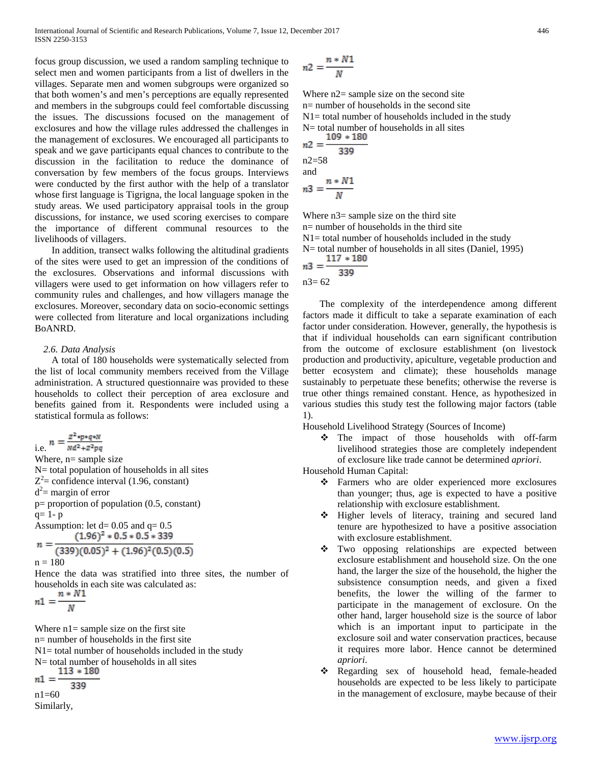focus group discussion, we used a random sampling technique to select men and women participants from a list of dwellers in the villages. Separate men and women subgroups were organized so that both women's and men's perceptions are equally represented and members in the subgroups could feel comfortable discussing the issues. The discussions focused on the management of exclosures and how the village rules addressed the challenges in the management of exclosures. We encouraged all participants to speak and we gave participants equal chances to contribute to the discussion in the facilitation to reduce the dominance of conversation by few members of the focus groups. Interviews were conducted by the first author with the help of a translator whose first language is Tigrigna, the local language spoken in the study areas. We used participatory appraisal tools in the group discussions, for instance, we used scoring exercises to compare the importance of different communal resources to the livelihoods of villagers.

 In addition, transect walks following the altitudinal gradients of the sites were used to get an impression of the conditions of the exclosures. Observations and informal discussions with villagers were used to get information on how villagers refer to community rules and challenges, and how villagers manage the exclosures. Moreover, secondary data on socio-economic settings were collected from literature and local organizations including BoANRD.

# *2.6. Data Analysis*

 A total of 180 households were systematically selected from the list of local community members received from the Village administration. A structured questionnaire was provided to these households to collect their perception of area exclosure and benefits gained from it. Respondents were included using a statistical formula as follows:

$$
n=\tfrac{Z^2\cdot pp\cdot q\cdot N}{Nd^2+Z^2pq}
$$

i.e. Where,  $n=$  sample size N= total population of households in all sites  $Z^2$  = confidence interval (1.96, constant)  $d^2$ = margin of error p= proportion of population (0.5, constant)  $q= 1-p$ Assumption: let d= 0.05 and q= 0.5<br>(1.96)<sup>2</sup>  $\approx$  0.5  $\approx$  0.5  $\approx$  339  $n =$  $(339)(0.05)^2 + (1.96)^2(0.5)(0.5)$  $n = 180$ 

Hence the data was stratified into three sites, the number of households in each site was calculated as:

$$
n1=\frac{n*N1}{N}
$$

Where  $n1$  = sample size on the first site n= number of households in the first site  $N1=$  total number of households included in the study N= total number of households in all sites  $113 * 180$ 

$$
n1 = \frac{339}{339}
$$

Similarly,

$$
n2=\frac{n*N1}{N}
$$

Where  $n2$ = sample size on the second site n= number of households in the second site N1= total number of households included in the study N= total number of households in all sites  $109 * 180$  $n2 = \frac{1}{\sqrt{1-\frac{1}{n}}}\$ 

$$
n2=58
$$
  
and  

$$
n3 = \frac{n * N1}{N}
$$

Where  $n3$  = sample size on the third site n= number of households in the third site  $N1=$  total number of households included in the study N= total number of households in all sites (Daniel, 1995)  $117 * 180$  $m3 = -$ 339 n3= 62

 The complexity of the interdependence among different factors made it difficult to take a separate examination of each factor under consideration. However, generally, the hypothesis is that if individual households can earn significant contribution from the outcome of exclosure establishment (on livestock production and productivity, apiculture, vegetable production and better ecosystem and climate); these households manage sustainably to perpetuate these benefits; otherwise the reverse is true other things remained constant. Hence, as hypothesized in various studies this study test the following major factors (table 1).

Household Livelihood Strategy (Sources of Income)

 $\div$  The impact of those households with off-farm livelihood strategies those are completely independent of exclosure like trade cannot be determined *apriori*.

Household Human Capital:

- Farmers who are older experienced more exclosures than younger; thus, age is expected to have a positive relationship with exclosure establishment.
- Higher levels of literacy, training and secured land tenure are hypothesized to have a positive association with exclosure establishment.
- Two opposing relationships are expected between exclosure establishment and household size. On the one hand, the larger the size of the household, the higher the subsistence consumption needs, and given a fixed benefits, the lower the willing of the farmer to participate in the management of exclosure. On the other hand, larger household size is the source of labor which is an important input to participate in the exclosure soil and water conservation practices, because it requires more labor. Hence cannot be determined *apriori*.
- Regarding sex of household head, female-headed households are expected to be less likely to participate in the management of exclosure, maybe because of their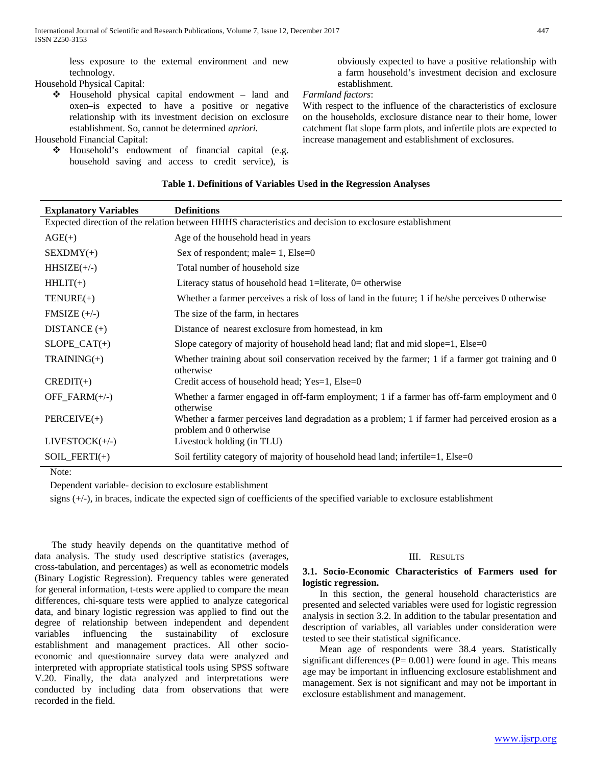less exposure to the external environment and new technology.

Household Physical Capital:

 Household physical capital endowment – land and oxen–is expected to have a positive or negative relationship with its investment decision on exclosure establishment. So, cannot be determined *apriori.*

Household Financial Capital:

• Household's endowment of financial capital (e.g. household saving and access to credit service), is obviously expected to have a positive relationship with a farm household's investment decision and exclosure establishment.

*Farmland factors*:

With respect to the influence of the characteristics of exclosure on the households, exclosure distance near to their home, lower catchment flat slope farm plots, and infertile plots are expected to increase management and establishment of exclosures.

| <b>Explanatory Variables</b>                                                                            | <b>Definitions</b>                                                                                                          |  |  |  |  |
|---------------------------------------------------------------------------------------------------------|-----------------------------------------------------------------------------------------------------------------------------|--|--|--|--|
| Expected direction of the relation between HHHS characteristics and decision to exclosure establishment |                                                                                                                             |  |  |  |  |
| $AGE(+)$                                                                                                | Age of the household head in years                                                                                          |  |  |  |  |
| $SEXDMY(+)$                                                                                             | Sex of respondent; male= $1$ , Else=0                                                                                       |  |  |  |  |
| $HHSIZE(+/-)$                                                                                           | Total number of household size                                                                                              |  |  |  |  |
| $HHLIT(+)$                                                                                              | Literacy status of household head 1=literate, $0=$ otherwise                                                                |  |  |  |  |
| $TENURE(+)$                                                                                             | Whether a farmer perceives a risk of loss of land in the future; 1 if he/she perceives 0 otherwise                          |  |  |  |  |
| FMSIZE $(+/-)$                                                                                          | The size of the farm, in hectares                                                                                           |  |  |  |  |
| DISTANCE (+)                                                                                            | Distance of nearest exclosure from homestead, in km                                                                         |  |  |  |  |
| $SLOPE_CAT(+)$                                                                                          | Slope category of majority of household head land; flat and mid slope= $1$ , Else= $0$                                      |  |  |  |  |
| $TRANING(+)$                                                                                            | Whether training about soil conservation received by the farmer; 1 if a farmer got training and 0<br>otherwise              |  |  |  |  |
| $CREDIT(+)$                                                                                             | Credit access of household head; Yes=1, Else=0                                                                              |  |  |  |  |
| $OFF\_FARM(+/-)$                                                                                        | Whether a farmer engaged in off-farm employment; 1 if a farmer has off-farm employment and 0<br>otherwise                   |  |  |  |  |
| $PERCEIVE(+)$                                                                                           | Whether a farmer perceives land degradation as a problem; 1 if farmer had perceived erosion as a<br>problem and 0 otherwise |  |  |  |  |
| $LIVESTOCK(+/-)$                                                                                        | Livestock holding (in TLU)                                                                                                  |  |  |  |  |
| $SOLL$ <sub>FERTI(+)</sub><br>$\mathbf{v}$                                                              | Soil fertility category of majority of household head land; infertile=1, Else=0                                             |  |  |  |  |

## **Table 1. Definitions of Variables Used in the Regression Analyses**

Note:

Dependent variable- decision to exclosure establishment

signs  $(+)$ , in braces, indicate the expected sign of coefficients of the specified variable to exclosure establishment

 The study heavily depends on the quantitative method of data analysis. The study used descriptive statistics (averages, cross-tabulation, and percentages) as well as econometric models (Binary Logistic Regression). Frequency tables were generated for general information, t-tests were applied to compare the mean differences, chi-square tests were applied to analyze categorical data, and binary logistic regression was applied to find out the degree of relationship between independent and dependent variables influencing the sustainability of exclosure establishment and management practices. All other socioeconomic and questionnaire survey data were analyzed and interpreted with appropriate statistical tools using SPSS software V.20. Finally, the data analyzed and interpretations were conducted by including data from observations that were recorded in the field.

## III. RESULTS

# **3.1. Socio-Economic Characteristics of Farmers used for logistic regression.**

 In this section, the general household characteristics are presented and selected variables were used for logistic regression analysis in section 3.2. In addition to the tabular presentation and description of variables, all variables under consideration were tested to see their statistical significance.

 Mean age of respondents were 38.4 years. Statistically significant differences ( $P = 0.001$ ) were found in age. This means age may be important in influencing exclosure establishment and management. Sex is not significant and may not be important in exclosure establishment and management.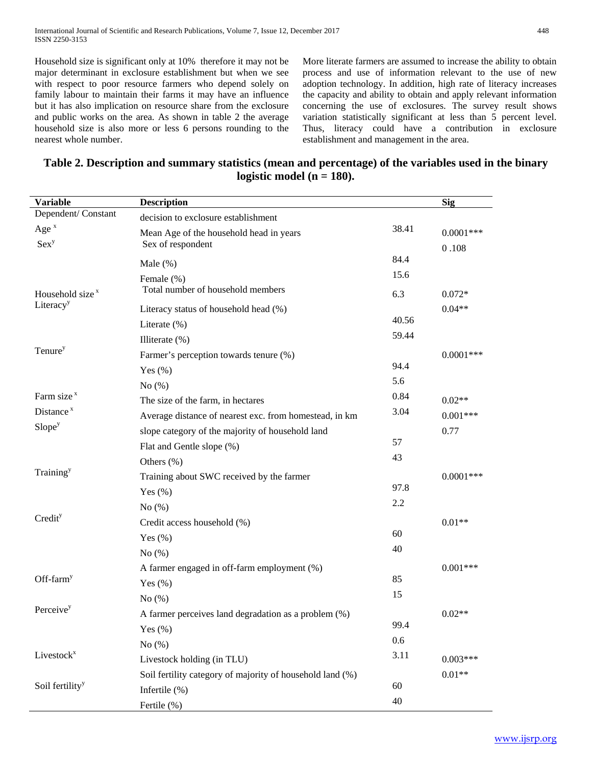Household size is significant only at 10% therefore it may not be major determinant in exclosure establishment but when we see with respect to poor resource farmers who depend solely on family labour to maintain their farms it may have an influence but it has also implication on resource share from the exclosure and public works on the area. As shown in table 2 the average household size is also more or less 6 persons rounding to the nearest whole number.

More literate farmers are assumed to increase the ability to obtain process and use of information relevant to the use of new adoption technology. In addition, high rate of literacy increases the capacity and ability to obtain and apply relevant information concerning the use of exclosures. The survey result shows variation statistically significant at less than 5 percent level. Thus, literacy could have a contribution in exclosure establishment and management in the area.

| Table 2. Description and summary statistics (mean and percentage) of the variables used in the binary |
|-------------------------------------------------------------------------------------------------------|
| logistic model ( $n = 180$ ).                                                                         |

| <b>Variable</b>             | <b>Description</b>                                        |       | <b>Sig</b>  |
|-----------------------------|-----------------------------------------------------------|-------|-------------|
| Dependent/Constant          | decision to exclosure establishment                       |       |             |
| Age $x$                     | Mean Age of the household head in years                   | 38.41 | $0.0001***$ |
| Sex <sup>y</sup>            | Sex of respondent                                         |       | 0.108       |
|                             | Male $(\%)$                                               | 84.4  |             |
|                             | Female (%)                                                | 15.6  |             |
| Household size <sup>x</sup> | Total number of household members                         | 6.3   | $0.072*$    |
| Literacy <sup>y</sup>       | Literacy status of household head (%)                     |       | $0.04**$    |
|                             | Literate $(\%)$                                           | 40.56 |             |
|                             | Illiterate (%)                                            | 59.44 |             |
| Tenure <sup>y</sup>         | Farmer's perception towards tenure (%)                    |       | $0.0001***$ |
|                             | Yes $(\%)$                                                | 94.4  |             |
|                             | No $(\%)$                                                 | 5.6   |             |
| Farm size <sup>x</sup>      | The size of the farm, in hectares                         | 0.84  | $0.02**$    |
| Distance <sup>x</sup>       | Average distance of nearest exc. from homestead, in km    | 3.04  | $0.001***$  |
| Slope <sup>y</sup>          | slope category of the majority of household land          |       | 0.77        |
|                             | Flat and Gentle slope (%)                                 | 57    |             |
|                             | Others $(\% )$                                            | 43    |             |
| Training <sup>y</sup>       | Training about SWC received by the farmer                 |       | $0.0001***$ |
|                             | Yes $(\% )$                                               | 97.8  |             |
|                             | No $(\%)$                                                 | 2.2   |             |
| Credity                     | Credit access household (%)                               |       | $0.01**$    |
|                             | Yes $(\% )$                                               | 60    |             |
|                             | No $(\%)$                                                 | 40    |             |
|                             | A farmer engaged in off-farm employment (%)               |       | $0.001***$  |
| Off-farm <sup>y</sup>       | Yes $(\% )$                                               | 85    |             |
|                             | No $(\%)$                                                 | 15    |             |
| Perceive <sup>y</sup>       | A farmer perceives land degradation as a problem (%)      |       | $0.02**$    |
|                             | Yes $(\%)$                                                | 99.4  |             |
|                             | No $(\%)$                                                 | 0.6   |             |
| Livestock <sup>x</sup>      | Livestock holding (in TLU)                                | 3.11  | $0.003***$  |
| Soil fertility <sup>y</sup> | Soil fertility category of majority of household land (%) |       | $0.01**$    |
|                             | Infertile (%)                                             | 60    |             |
|                             | Fertile (%)                                               | 40    |             |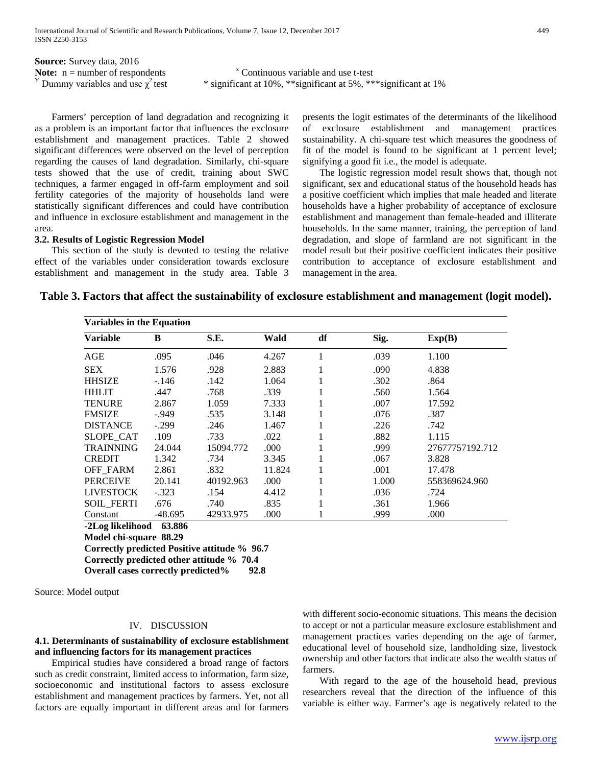| <b>Source:</b> Survey data, 2016                   |                                                                   |
|----------------------------------------------------|-------------------------------------------------------------------|
| <b>Note:</b> $n =$ number of respondents           | <sup>1</sup> Continuous variable and use t-test                   |
| <sup>Y</sup> Dummy variables and use $\chi^2$ test | * significant at 10%, ** significant at 5%, *** significant at 1% |

 Farmers' perception of land degradation and recognizing it as a problem is an important factor that influences the exclosure establishment and management practices. Table 2 showed significant differences were observed on the level of perception regarding the causes of land degradation. Similarly, chi-square tests showed that the use of credit, training about SWC techniques, a farmer engaged in off-farm employment and soil fertility categories of the majority of households land were statistically significant differences and could have contribution and influence in exclosure establishment and management in the area.

#### **3.2. Results of Logistic Regression Model**

 This section of the study is devoted to testing the relative effect of the variables under consideration towards exclosure establishment and management in the study area. Table 3 presents the logit estimates of the determinants of the likelihood of exclosure establishment and management practices sustainability. A chi-square test which measures the goodness of fit of the model is found to be significant at 1 percent level; signifying a good fit i.e., the model is adequate.

 The logistic regression model result shows that, though not significant, sex and educational status of the household heads has a positive coefficient which implies that male headed and literate households have a higher probability of acceptance of exclosure establishment and management than female-headed and illiterate households. In the same manner, training, the perception of land degradation, and slope of farmland are not significant in the model result but their positive coefficient indicates their positive contribution to acceptance of exclosure establishment and management in the area.

# **Table 3. Factors that affect the sustainability of exclosure establishment and management (logit model).**

| <b>Variables in the Equation</b> |          |           |        |    |       |                 |  |  |
|----------------------------------|----------|-----------|--------|----|-------|-----------------|--|--|
| <b>Variable</b>                  | B        | S.E.      | Wald   | df | Sig.  | Exp(B)          |  |  |
| AGE                              | .095     | .046      | 4.267  |    | .039  | 1.100           |  |  |
| <b>SEX</b>                       | 1.576    | .928      | 2.883  |    | .090  | 4.838           |  |  |
| <b>HHSIZE</b>                    | $-146$   | .142      | 1.064  |    | .302  | .864            |  |  |
| <b>HHLIT</b>                     | .447     | .768      | .339   |    | .560  | 1.564           |  |  |
| <b>TENURE</b>                    | 2.867    | 1.059     | 7.333  |    | .007  | 17.592          |  |  |
| <b>FMSIZE</b>                    | $-0.949$ | .535      | 3.148  |    | .076  | .387            |  |  |
| <b>DISTANCE</b>                  | $-.299$  | .246      | 1.467  |    | .226  | .742            |  |  |
| <b>SLOPE CAT</b>                 | .109     | .733      | .022   |    | .882  | 1.115           |  |  |
| <b>TRAINNING</b>                 | 24.044   | 15094.772 | .000   |    | .999  | 27677757192.712 |  |  |
| <b>CREDIT</b>                    | 1.342    | .734      | 3.345  |    | .067  | 3.828           |  |  |
| <b>OFF FARM</b>                  | 2.861    | .832      | 11.824 |    | .001  | 17.478          |  |  |
| <b>PERCEIVE</b>                  | 20.141   | 40192.963 | .000   |    | 1.000 | 558369624.960   |  |  |
| <b>LIVESTOCK</b>                 | $-.323$  | .154      | 4.412  |    | .036  | .724            |  |  |
| <b>SOIL FERTI</b>                | .676     | .740      | .835   |    | .361  | 1.966           |  |  |
| Constant<br>$-$<br>              | -48.695  | 42933.975 | .000   |    | .999  | .000            |  |  |

**-2Log likelihood 63.886 Model chi-square 88.29 Correctly predicted Positive attitude % 96.7 Correctly predicted other attitude % 70.4 Overall cases correctly predicted% 92.8**

Source: Model output

#### IV. DISCUSSION

# **4.1. Determinants of sustainability of exclosure establishment and influencing factors for its management practices**

 Empirical studies have considered a broad range of factors such as credit constraint, limited access to information, farm size, socioeconomic and institutional factors to assess exclosure establishment and management practices by farmers. Yet, not all factors are equally important in different areas and for farmers

with different socio-economic situations. This means the decision to accept or not a particular measure exclosure establishment and management practices varies depending on the age of farmer, educational level of household size, landholding size, livestock ownership and other factors that indicate also the wealth status of farmers.

 With regard to the age of the household head, previous researchers reveal that the direction of the influence of this variable is either way. Farmer's age is negatively related to the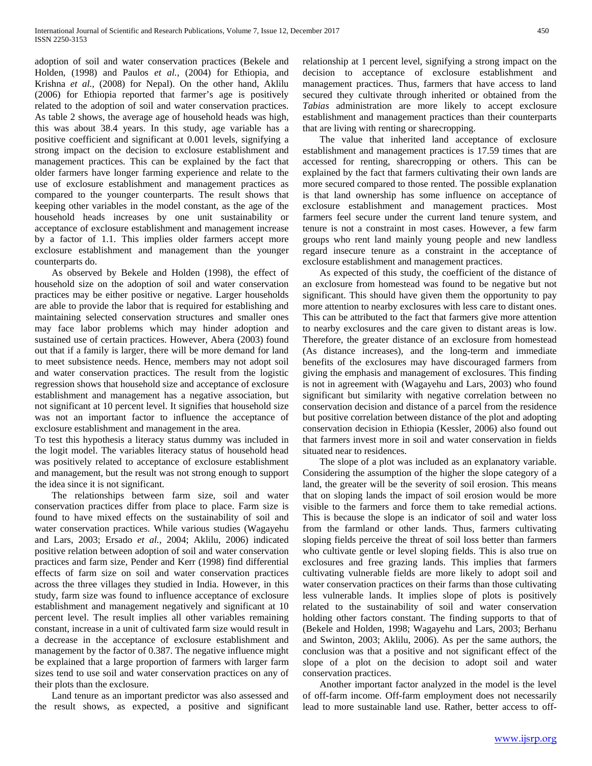adoption of soil and water conservation practices (Bekele and Holden, (1998) and Paulos *et al.,* (2004) for Ethiopia, and Krishna *et al.,* (2008) for Nepal). On the other hand, Aklilu (2006) for Ethiopia reported that farmer's age is positively related to the adoption of soil and water conservation practices. As table 2 shows, the average age of household heads was high, this was about 38.4 years. In this study, age variable has a positive coefficient and significant at 0.001 levels, signifying a strong impact on the decision to exclosure establishment and management practices. This can be explained by the fact that older farmers have longer farming experience and relate to the use of exclosure establishment and management practices as compared to the younger counterparts. The result shows that keeping other variables in the model constant, as the age of the household heads increases by one unit sustainability or acceptance of exclosure establishment and management increase by a factor of 1.1. This implies older farmers accept more exclosure establishment and management than the younger counterparts do.

 As observed by Bekele and Holden (1998), the effect of household size on the adoption of soil and water conservation practices may be either positive or negative. Larger households are able to provide the labor that is required for establishing and maintaining selected conservation structures and smaller ones may face labor problems which may hinder adoption and sustained use of certain practices. However, Abera (2003) found out that if a family is larger, there will be more demand for land to meet subsistence needs. Hence, members may not adopt soil and water conservation practices. The result from the logistic regression shows that household size and acceptance of exclosure establishment and management has a negative association, but not significant at 10 percent level. It signifies that household size was not an important factor to influence the acceptance of exclosure establishment and management in the area.

To test this hypothesis a literacy status dummy was included in the logit model. The variables literacy status of household head was positively related to acceptance of exclosure establishment and management, but the result was not strong enough to support the idea since it is not significant.

 The relationships between farm size, soil and water conservation practices differ from place to place. Farm size is found to have mixed effects on the sustainability of soil and water conservation practices. While various studies (Wagayehu and Lars, 2003; Ersado *et al.,* 2004; Aklilu, 2006) indicated positive relation between adoption of soil and water conservation practices and farm size, Pender and Kerr (1998) find differential effects of farm size on soil and water conservation practices across the three villages they studied in India. However, in this study, farm size was found to influence acceptance of exclosure establishment and management negatively and significant at 10 percent level. The result implies all other variables remaining constant, increase in a unit of cultivated farm size would result in a decrease in the acceptance of exclosure establishment and management by the factor of 0.387. The negative influence might be explained that a large proportion of farmers with larger farm sizes tend to use soil and water conservation practices on any of their plots than the exclosure.

 Land tenure as an important predictor was also assessed and the result shows, as expected, a positive and significant relationship at 1 percent level, signifying a strong impact on the decision to acceptance of exclosure establishment and management practices. Thus, farmers that have access to land secured they cultivate through inherited or obtained from the *Tabias* administration are more likely to accept exclosure establishment and management practices than their counterparts that are living with renting or sharecropping.

 The value that inherited land acceptance of exclosure establishment and management practices is 17.59 times that are accessed for renting, sharecropping or others. This can be explained by the fact that farmers cultivating their own lands are more secured compared to those rented. The possible explanation is that land ownership has some influence on acceptance of exclosure establishment and management practices. Most farmers feel secure under the current land tenure system, and tenure is not a constraint in most cases. However, a few farm groups who rent land mainly young people and new landless regard insecure tenure as a constraint in the acceptance of exclosure establishment and management practices.

 As expected of this study, the coefficient of the distance of an exclosure from homestead was found to be negative but not significant. This should have given them the opportunity to pay more attention to nearby exclosures with less care to distant ones. This can be attributed to the fact that farmers give more attention to nearby exclosures and the care given to distant areas is low. Therefore, the greater distance of an exclosure from homestead (As distance increases), and the long-term and immediate benefits of the exclosures may have discouraged farmers from giving the emphasis and management of exclosures. This finding is not in agreement with (Wagayehu and Lars, 2003) who found significant but similarity with negative correlation between no conservation decision and distance of a parcel from the residence but positive correlation between distance of the plot and adopting conservation decision in Ethiopia (Kessler, 2006) also found out that farmers invest more in soil and water conservation in fields situated near to residences.

 The slope of a plot was included as an explanatory variable. Considering the assumption of the higher the slope category of a land, the greater will be the severity of soil erosion. This means that on sloping lands the impact of soil erosion would be more visible to the farmers and force them to take remedial actions. This is because the slope is an indicator of soil and water loss from the farmland or other lands. Thus, farmers cultivating sloping fields perceive the threat of soil loss better than farmers who cultivate gentle or level sloping fields. This is also true on exclosures and free grazing lands. This implies that farmers cultivating vulnerable fields are more likely to adopt soil and water conservation practices on their farms than those cultivating less vulnerable lands. It implies slope of plots is positively related to the sustainability of soil and water conservation holding other factors constant. The finding supports to that of (Bekele and Holden, 1998; Wagayehu and Lars, 2003; Berhanu and Swinton, 2003; Aklilu, 2006). As per the same authors, the conclusion was that a positive and not significant effect of the slope of a plot on the decision to adopt soil and water conservation practices.

 Another important factor analyzed in the model is the level of off-farm income. Off-farm employment does not necessarily lead to more sustainable land use. Rather, better access to off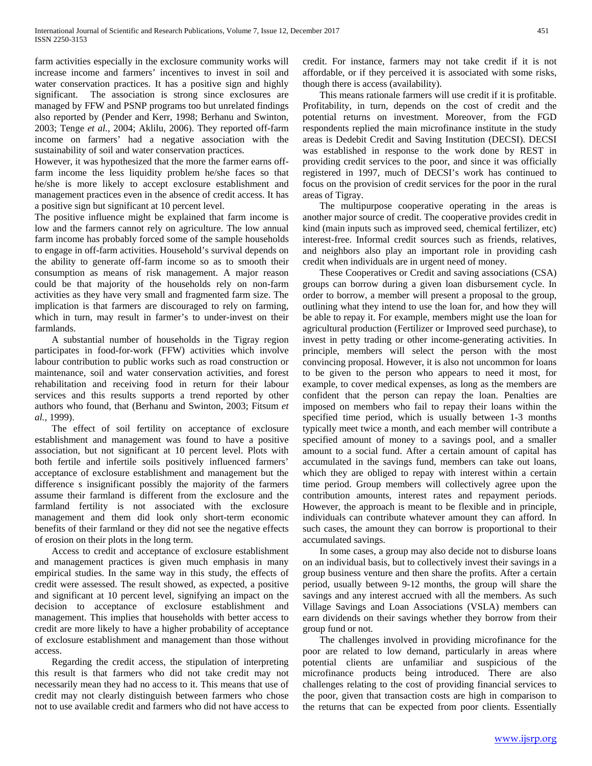farm activities especially in the exclosure community works will increase income and farmers' incentives to invest in soil and water conservation practices. It has a positive sign and highly significant. The association is strong since exclosures are managed by FFW and PSNP programs too but unrelated findings also reported by (Pender and Kerr, 1998; Berhanu and Swinton, 2003; Tenge *et al.,* 2004; Aklilu, 2006). They reported off-farm income on farmers' had a negative association with the sustainability of soil and water conservation practices.

However, it was hypothesized that the more the farmer earns offfarm income the less liquidity problem he/she faces so that he/she is more likely to accept exclosure establishment and management practices even in the absence of credit access. It has a positive sign but significant at 10 percent level.

The positive influence might be explained that farm income is low and the farmers cannot rely on agriculture. The low annual farm income has probably forced some of the sample households to engage in off-farm activities. Household's survival depends on the ability to generate off-farm income so as to smooth their consumption as means of risk management. A major reason could be that majority of the households rely on non-farm activities as they have very small and fragmented farm size. The implication is that farmers are discouraged to rely on farming, which in turn, may result in farmer's to under-invest on their farmlands.

 A substantial number of households in the Tigray region participates in food-for-work (FFW) activities which involve labour contribution to public works such as road construction or maintenance, soil and water conservation activities, and forest rehabilitation and receiving food in return for their labour services and this results supports a trend reported by other authors who found, that (Berhanu and Swinton, 2003; Fitsum *et al.,* 1999).

 The effect of soil fertility on acceptance of exclosure establishment and management was found to have a positive association, but not significant at 10 percent level. Plots with both fertile and infertile soils positively influenced farmers' acceptance of exclosure establishment and management but the difference s insignificant possibly the majority of the farmers assume their farmland is different from the exclosure and the farmland fertility is not associated with the exclosure management and them did look only short-term economic benefits of their farmland or they did not see the negative effects of erosion on their plots in the long term.

 Access to credit and acceptance of exclosure establishment and management practices is given much emphasis in many empirical studies. In the same way in this study, the effects of credit were assessed. The result showed, as expected, a positive and significant at 10 percent level, signifying an impact on the decision to acceptance of exclosure establishment and management. This implies that households with better access to credit are more likely to have a higher probability of acceptance of exclosure establishment and management than those without access.

 Regarding the credit access, the stipulation of interpreting this result is that farmers who did not take credit may not necessarily mean they had no access to it. This means that use of credit may not clearly distinguish between farmers who chose not to use available credit and farmers who did not have access to credit. For instance, farmers may not take credit if it is not affordable, or if they perceived it is associated with some risks, though there is access (availability).

 This means rationale farmers will use credit if it is profitable. Profitability, in turn, depends on the cost of credit and the potential returns on investment. Moreover, from the FGD respondents replied the main microfinance institute in the study areas is Dedebit Credit and Saving Institution (DECSI). DECSI was established in response to the work done by REST in providing credit services to the poor, and since it was officially registered in 1997, much of DECSI's work has continued to focus on the provision of credit services for the poor in the rural areas of Tigray.

 The multipurpose cooperative operating in the areas is another major source of credit. The cooperative provides credit in kind (main inputs such as improved seed, chemical fertilizer, etc) interest-free. Informal credit sources such as friends, relatives, and neighbors also play an important role in providing cash credit when individuals are in urgent need of money.

 These Cooperatives or Credit and saving associations (CSA) groups can borrow during a given loan disbursement cycle. In order to borrow, a member will present a proposal to the group, outlining what they intend to use the loan for, and how they will be able to repay it. For example, members might use the loan for agricultural production (Fertilizer or Improved seed purchase), to invest in petty trading or other income-generating activities. In principle, members will select the person with the most convincing proposal. However, it is also not uncommon for loans to be given to the person who appears to need it most, for example, to cover medical expenses, as long as the members are confident that the person can repay the loan. Penalties are imposed on members who fail to repay their loans within the specified time period, which is usually between 1-3 months typically meet twice a month, and each member will contribute a specified amount of money to a savings pool, and a smaller amount to a social fund. After a certain amount of capital has accumulated in the savings fund, members can take out loans, which they are obliged to repay with interest within a certain time period. Group members will collectively agree upon the contribution amounts, interest rates and repayment periods. However, the approach is meant to be flexible and in principle, individuals can contribute whatever amount they can afford. In such cases, the amount they can borrow is proportional to their accumulated savings.

 In some cases, a group may also decide not to disburse loans on an individual basis, but to collectively invest their savings in a group business venture and then share the profits. After a certain period, usually between 9-12 months, the group will share the savings and any interest accrued with all the members. As such Village Savings and Loan Associations (VSLA) members can earn dividends on their savings whether they borrow from their group fund or not.

 The challenges involved in providing microfinance for the poor are related to low demand, particularly in areas where potential clients are unfamiliar and suspicious of the microfinance products being introduced. There are also challenges relating to the cost of providing financial services to the poor, given that transaction costs are high in comparison to the returns that can be expected from poor clients. Essentially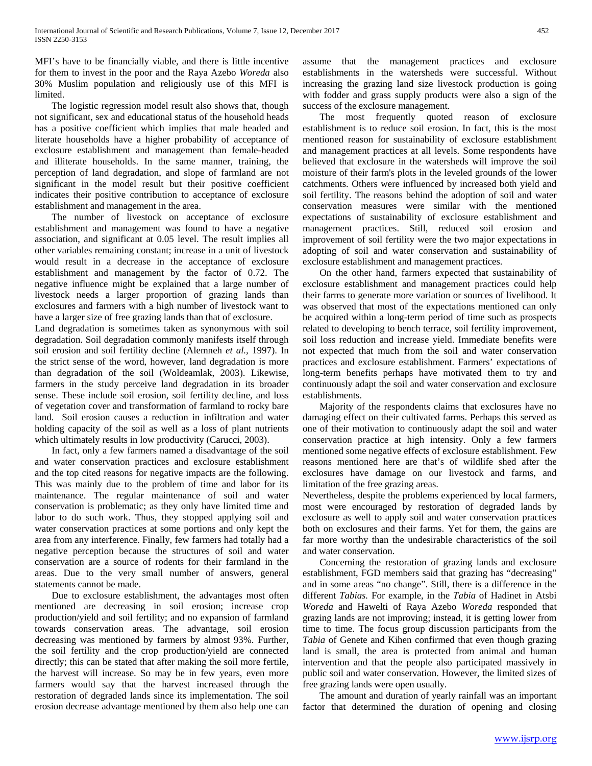MFI's have to be financially viable, and there is little incentive for them to invest in the poor and the Raya Azebo *Woreda* also 30% Muslim population and religiously use of this MFI is limited.

 The logistic regression model result also shows that, though not significant, sex and educational status of the household heads has a positive coefficient which implies that male headed and literate households have a higher probability of acceptance of exclosure establishment and management than female-headed and illiterate households. In the same manner, training, the perception of land degradation, and slope of farmland are not significant in the model result but their positive coefficient indicates their positive contribution to acceptance of exclosure establishment and management in the area.

 The number of livestock on acceptance of exclosure establishment and management was found to have a negative association, and significant at 0.05 level. The result implies all other variables remaining constant; increase in a unit of livestock would result in a decrease in the acceptance of exclosure establishment and management by the factor of 0.72. The negative influence might be explained that a large number of livestock needs a larger proportion of grazing lands than exclosures and farmers with a high number of livestock want to have a larger size of free grazing lands than that of exclosure.

Land degradation is sometimes taken as synonymous with soil degradation. Soil degradation commonly manifests itself through soil erosion and soil fertility decline (Alemneh *et al.,* 1997). In the strict sense of the word, however, land degradation is more than degradation of the soil (Woldeamlak, 2003). Likewise, farmers in the study perceive land degradation in its broader sense. These include soil erosion, soil fertility decline, and loss of vegetation cover and transformation of farmland to rocky bare land. Soil erosion causes a reduction in infiltration and water holding capacity of the soil as well as a loss of plant nutrients which ultimately results in low productivity (Carucci, 2003).

 In fact, only a few farmers named a disadvantage of the soil and water conservation practices and exclosure establishment and the top cited reasons for negative impacts are the following. This was mainly due to the problem of time and labor for its maintenance. The regular maintenance of soil and water conservation is problematic; as they only have limited time and labor to do such work. Thus, they stopped applying soil and water conservation practices at some portions and only kept the area from any interference. Finally, few farmers had totally had a negative perception because the structures of soil and water conservation are a source of rodents for their farmland in the areas. Due to the very small number of answers, general statements cannot be made.

 Due to exclosure establishment, the advantages most often mentioned are decreasing in soil erosion; increase crop production/yield and soil fertility; and no expansion of farmland towards conservation areas. The advantage, soil erosion decreasing was mentioned by farmers by almost 93%. Further, the soil fertility and the crop production/yield are connected directly; this can be stated that after making the soil more fertile, the harvest will increase. So may be in few years, even more farmers would say that the harvest increased through the restoration of degraded lands since its implementation. The soil erosion decrease advantage mentioned by them also help one can assume that the management practices and exclosure establishments in the watersheds were successful. Without increasing the grazing land size livestock production is going with fodder and grass supply products were also a sign of the success of the exclosure management.

 The most frequently quoted reason of exclosure establishment is to reduce soil erosion. In fact, this is the most mentioned reason for sustainability of exclosure establishment and management practices at all levels. Some respondents have believed that exclosure in the watersheds will improve the soil moisture of their farm's plots in the leveled grounds of the lower catchments. Others were influenced by increased both yield and soil fertility. The reasons behind the adoption of soil and water conservation measures were similar with the mentioned expectations of sustainability of exclosure establishment and management practices. Still, reduced soil erosion and improvement of soil fertility were the two major expectations in adopting of soil and water conservation and sustainability of exclosure establishment and management practices.

 On the other hand, farmers expected that sustainability of exclosure establishment and management practices could help their farms to generate more variation or sources of livelihood. It was observed that most of the expectations mentioned can only be acquired within a long-term period of time such as prospects related to developing to bench terrace, soil fertility improvement, soil loss reduction and increase yield. Immediate benefits were not expected that much from the soil and water conservation practices and exclosure establishment. Farmers' expectations of long-term benefits perhaps have motivated them to try and continuously adapt the soil and water conservation and exclosure establishments.

 Majority of the respondents claims that exclosures have no damaging effect on their cultivated farms. Perhaps this served as one of their motivation to continuously adapt the soil and water conservation practice at high intensity. Only a few farmers mentioned some negative effects of exclosure establishment. Few reasons mentioned here are that's of wildlife shed after the exclosures have damage on our livestock and farms, and limitation of the free grazing areas.

Nevertheless, despite the problems experienced by local farmers, most were encouraged by restoration of degraded lands by exclosure as well to apply soil and water conservation practices both on exclosures and their farms. Yet for them, the gains are far more worthy than the undesirable characteristics of the soil and water conservation.

 Concerning the restoration of grazing lands and exclosure establishment, FGD members said that grazing has "decreasing" and in some areas "no change". Still, there is a difference in the different *Tabias.* For example, in the *Tabia* of Hadinet in Atsbi *Woreda* and Hawelti of Raya Azebo *Woreda* responded that grazing lands are not improving; instead, it is getting lower from time to time. The focus group discussion participants from the *Tabia* of Genete and Kihen confirmed that even though grazing land is small, the area is protected from animal and human intervention and that the people also participated massively in public soil and water conservation. However, the limited sizes of free grazing lands were open usually.

 The amount and duration of yearly rainfall was an important factor that determined the duration of opening and closing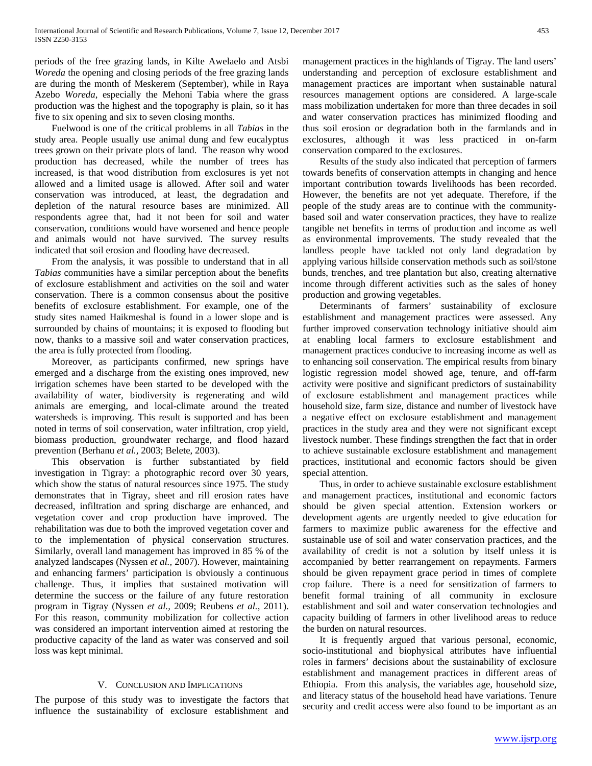periods of the free grazing lands, in Kilte Awelaelo and Atsbi *Woreda* the opening and closing periods of the free grazing lands are during the month of Meskerem (September), while in Raya Azebo *Woreda*, especially the Mehoni Tabia where the grass production was the highest and the topography is plain, so it has five to six opening and six to seven closing months.

 Fuelwood is one of the critical problems in all *Tabias* in the study area. People usually use animal dung and few eucalyptus trees grown on their private plots of land. The reason why wood production has decreased, while the number of trees has increased, is that wood distribution from exclosures is yet not allowed and a limited usage is allowed. After soil and water conservation was introduced, at least, the degradation and depletion of the natural resource bases are minimized. All respondents agree that, had it not been for soil and water conservation, conditions would have worsened and hence people and animals would not have survived. The survey results indicated that soil erosion and flooding have decreased.

 From the analysis, it was possible to understand that in all *Tabias* communities have a similar perception about the benefits of exclosure establishment and activities on the soil and water conservation. There is a common consensus about the positive benefits of exclosure establishment. For example, one of the study sites named Haikmeshal is found in a lower slope and is surrounded by chains of mountains; it is exposed to flooding but now, thanks to a massive soil and water conservation practices, the area is fully protected from flooding.

 Moreover, as participants confirmed, new springs have emerged and a discharge from the existing ones improved, new irrigation schemes have been started to be developed with the availability of water, biodiversity is regenerating and wild animals are emerging, and local-climate around the treated watersheds is improving. This result is supported and has been noted in terms of soil conservation, water infiltration, crop yield, biomass production, groundwater recharge, and flood hazard prevention (Berhanu *et al.,* 2003; Belete, 2003).

 This observation is further substantiated by field investigation in Tigray: a photographic record over 30 years, which show the status of natural resources since 1975. The study demonstrates that in Tigray, sheet and rill erosion rates have decreased, infiltration and spring discharge are enhanced, and vegetation cover and crop production have improved. The rehabilitation was due to both the improved vegetation cover and to the implementation of physical conservation structures. Similarly, overall land management has improved in 85 % of the analyzed landscapes (Nyssen *et al.,* 2007). However, maintaining and enhancing farmers' participation is obviously a continuous challenge. Thus, it implies that sustained motivation will determine the success or the failure of any future restoration program in Tigray (Nyssen *et al.,* 2009; Reubens *et al.,* 2011). For this reason, community mobilization for collective action was considered an important intervention aimed at restoring the productive capacity of the land as water was conserved and soil loss was kept minimal.

# V. CONCLUSION AND IMPLICATIONS

The purpose of this study was to investigate the factors that influence the sustainability of exclosure establishment and management practices in the highlands of Tigray. The land users' understanding and perception of exclosure establishment and management practices are important when sustainable natural resources management options are considered. A large-scale mass mobilization undertaken for more than three decades in soil and water conservation practices has minimized flooding and thus soil erosion or degradation both in the farmlands and in exclosures, although it was less practiced in on-farm conservation compared to the exclosures.

 Results of the study also indicated that perception of farmers towards benefits of conservation attempts in changing and hence important contribution towards livelihoods has been recorded. However, the benefits are not yet adequate. Therefore, if the people of the study areas are to continue with the communitybased soil and water conservation practices, they have to realize tangible net benefits in terms of production and income as well as environmental improvements. The study revealed that the landless people have tackled not only land degradation by applying various hillside conservation methods such as soil/stone bunds, trenches, and tree plantation but also, creating alternative income through different activities such as the sales of honey production and growing vegetables.

 Determinants of farmers' sustainability of exclosure establishment and management practices were assessed. Any further improved conservation technology initiative should aim at enabling local farmers to exclosure establishment and management practices conducive to increasing income as well as to enhancing soil conservation. The empirical results from binary logistic regression model showed age, tenure, and off-farm activity were positive and significant predictors of sustainability of exclosure establishment and management practices while household size, farm size, distance and number of livestock have a negative effect on exclosure establishment and management practices in the study area and they were not significant except livestock number. These findings strengthen the fact that in order to achieve sustainable exclosure establishment and management practices, institutional and economic factors should be given special attention.

 Thus, in order to achieve sustainable exclosure establishment and management practices, institutional and economic factors should be given special attention. Extension workers or development agents are urgently needed to give education for farmers to maximize public awareness for the effective and sustainable use of soil and water conservation practices, and the availability of credit is not a solution by itself unless it is accompanied by better rearrangement on repayments. Farmers should be given repayment grace period in times of complete crop failure. There is a need for sensitization of farmers to benefit formal training of all community in exclosure establishment and soil and water conservation technologies and capacity building of farmers in other livelihood areas to reduce the burden on natural resources.

 It is frequently argued that various personal, economic, socio-institutional and biophysical attributes have influential roles in farmers' decisions about the sustainability of exclosure establishment and management practices in different areas of Ethiopia. From this analysis, the variables age, household size, and literacy status of the household head have variations. Tenure security and credit access were also found to be important as an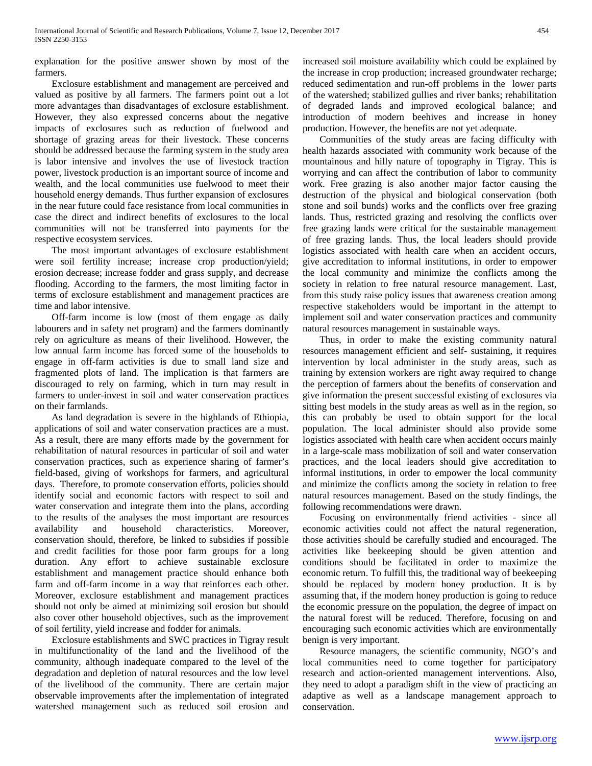explanation for the positive answer shown by most of the farmers.

 Exclosure establishment and management are perceived and valued as positive by all farmers. The farmers point out a lot more advantages than disadvantages of exclosure establishment. However, they also expressed concerns about the negative impacts of exclosures such as reduction of fuelwood and shortage of grazing areas for their livestock. These concerns should be addressed because the farming system in the study area is labor intensive and involves the use of livestock traction power, livestock production is an important source of income and wealth, and the local communities use fuelwood to meet their household energy demands. Thus further expansion of exclosures in the near future could face resistance from local communities in case the direct and indirect benefits of exclosures to the local communities will not be transferred into payments for the respective ecosystem services.

 The most important advantages of exclosure establishment were soil fertility increase; increase crop production/yield; erosion decrease; increase fodder and grass supply, and decrease flooding. According to the farmers, the most limiting factor in terms of exclosure establishment and management practices are time and labor intensive.

 Off-farm income is low (most of them engage as daily labourers and in safety net program) and the farmers dominantly rely on agriculture as means of their livelihood. However, the low annual farm income has forced some of the households to engage in off-farm activities is due to small land size and fragmented plots of land. The implication is that farmers are discouraged to rely on farming, which in turn may result in farmers to under-invest in soil and water conservation practices on their farmlands.

 As land degradation is severe in the highlands of Ethiopia, applications of soil and water conservation practices are a must. As a result, there are many efforts made by the government for rehabilitation of natural resources in particular of soil and water conservation practices, such as experience sharing of farmer's field-based, giving of workshops for farmers, and agricultural days. Therefore, to promote conservation efforts, policies should identify social and economic factors with respect to soil and water conservation and integrate them into the plans, according to the results of the analyses the most important are resources availability and household characteristics. Moreover, conservation should, therefore, be linked to subsidies if possible and credit facilities for those poor farm groups for a long duration. Any effort to achieve sustainable exclosure establishment and management practice should enhance both farm and off-farm income in a way that reinforces each other. Moreover, exclosure establishment and management practices should not only be aimed at minimizing soil erosion but should also cover other household objectives, such as the improvement of soil fertility, yield increase and fodder for animals.

 Exclosure establishments and SWC practices in Tigray result in multifunctionality of the land and the livelihood of the community, although inadequate compared to the level of the degradation and depletion of natural resources and the low level of the livelihood of the community. There are certain major observable improvements after the implementation of integrated watershed management such as reduced soil erosion and

increased soil moisture availability which could be explained by the increase in crop production; increased groundwater recharge; reduced sedimentation and run-off problems in the lower parts of the watershed; stabilized gullies and river banks; rehabilitation of degraded lands and improved ecological balance; and introduction of modern beehives and increase in honey production. However, the benefits are not yet adequate.

 Communities of the study areas are facing difficulty with health hazards associated with community work because of the mountainous and hilly nature of topography in Tigray. This is worrying and can affect the contribution of labor to community work. Free grazing is also another major factor causing the destruction of the physical and biological conservation (both stone and soil bunds) works and the conflicts over free grazing lands. Thus, restricted grazing and resolving the conflicts over free grazing lands were critical for the sustainable management of free grazing lands. Thus, the local leaders should provide logistics associated with health care when an accident occurs, give accreditation to informal institutions, in order to empower the local community and minimize the conflicts among the society in relation to free natural resource management. Last, from this study raise policy issues that awareness creation among respective stakeholders would be important in the attempt to implement soil and water conservation practices and community natural resources management in sustainable ways.

 Thus, in order to make the existing community natural resources management efficient and self- sustaining, it requires intervention by local administer in the study areas, such as training by extension workers are right away required to change the perception of farmers about the benefits of conservation and give information the present successful existing of exclosures via sitting best models in the study areas as well as in the region, so this can probably be used to obtain support for the local population. The local administer should also provide some logistics associated with health care when accident occurs mainly in a large-scale mass mobilization of soil and water conservation practices, and the local leaders should give accreditation to informal institutions, in order to empower the local community and minimize the conflicts among the society in relation to free natural resources management. Based on the study findings, the following recommendations were drawn.

 Focusing on environmentally friend activities - since all economic activities could not affect the natural regeneration, those activities should be carefully studied and encouraged. The activities like beekeeping should be given attention and conditions should be facilitated in order to maximize the economic return. To fulfill this, the traditional way of beekeeping should be replaced by modern honey production. It is by assuming that, if the modern honey production is going to reduce the economic pressure on the population, the degree of impact on the natural forest will be reduced. Therefore, focusing on and encouraging such economic activities which are environmentally benign is very important.

 Resource managers, the scientific community, NGO's and local communities need to come together for participatory research and action-oriented management interventions. Also, they need to adopt a paradigm shift in the view of practicing an adaptive as well as a landscape management approach to conservation.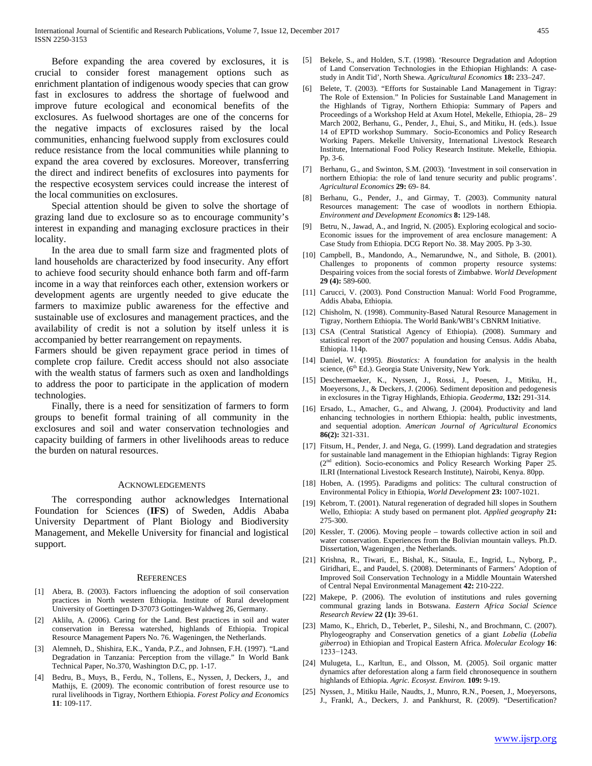Before expanding the area covered by exclosures, it is crucial to consider forest management options such as enrichment plantation of indigenous woody species that can grow fast in exclosures to address the shortage of fuelwood and improve future ecological and economical benefits of the exclosures. As fuelwood shortages are one of the concerns for the negative impacts of exclosures raised by the local communities, enhancing fuelwood supply from exclosures could reduce resistance from the local communities while planning to expand the area covered by exclosures. Moreover, transferring the direct and indirect benefits of exclosures into payments for the respective ecosystem services could increase the interest of the local communities on exclosures.

 Special attention should be given to solve the shortage of grazing land due to exclosure so as to encourage community's interest in expanding and managing exclosure practices in their locality.

 In the area due to small farm size and fragmented plots of land households are characterized by food insecurity. Any effort to achieve food security should enhance both farm and off-farm income in a way that reinforces each other, extension workers or development agents are urgently needed to give educate the farmers to maximize public awareness for the effective and sustainable use of exclosures and management practices, and the availability of credit is not a solution by itself unless it is accompanied by better rearrangement on repayments.

Farmers should be given repayment grace period in times of complete crop failure. Credit access should not also associate with the wealth status of farmers such as oxen and landholdings to address the poor to participate in the application of modern technologies.

 Finally, there is a need for sensitization of farmers to form groups to benefit formal training of all community in the exclosures and soil and water conservation technologies and capacity building of farmers in other livelihoods areas to reduce the burden on natural resources.

#### ACKNOWLEDGEMENTS

 The corresponding author acknowledges International Foundation for Sciences (**IFS**) of Sweden, Addis Ababa University Department of Plant Biology and Biodiversity Management, and Mekelle University for financial and logistical support.

#### **REFERENCES**

- [1] Abera, B. (2003). Factors influencing the adoption of soil conservation practices in North western Ethiopia. Institute of Rural development University of Goettingen D-37073 Gottingen-Waldweg 26, Germany.
- [2] Aklilu, A. (2006). Caring for the Land. Best practices in soil and water conservation in Beressa watershed, highlands of Ethiopia. Tropical Resource Management Papers No. 76. Wageningen, the Netherlands.
- [3] Alemneh, D., Shishira, E.K., Yanda, P.Z., and Johnsen, F.H. (1997). "Land Degradation in Tanzania: Perception from the village." In World Bank Technical Paper, No.370, Washington D.C, pp. 1-17.
- [4] Bedru, B., Muys, B., Ferdu, N., Tollens, E., Nyssen, J., Deckers, J., and Mathijs, E. (2009). The economic contribution of forest resource use to rural livelihoods in Tigray, Northern Ethiopia. *Forest Policy and Economics*  **11**: 109-117.
- [5] Bekele, S., and Holden, S.T. (1998). 'Resource Degradation and Adoption of Land Conservation Technologies in the Ethiopian Highlands: A casestudy in Andit Tid', North Shewa. *Agricultural Economics* **18:** 233–247.
- [6] Belete, T. (2003). "Efforts for Sustainable Land Management in Tigray: The Role of Extension." In Policies for Sustainable Land Management in the Highlands of Tigray, Northern Ethiopia: Summary of Papers and Proceedings of a Workshop Held at Axum Hotel, Mekelle, Ethiopia, 28– 29 March 2002, Berhanu, G., Pender, J., Ehui, S., and Mitiku, H. (eds.). Issue 14 of EPTD workshop Summary. Socio-Economics and Policy Research Working Papers. Mekelle University, International Livestock Research Institute, International Food Policy Research Institute. Mekelle, Ethiopia. Pp. 3-6.
- [7] Berhanu, G., and Swinton, S.M. (2003). 'Investment in soil conservation in northern Ethiopia: the role of land tenure security and public programs'. *Agricultural Economics* **29:** 69- 84.
- [8] Berhanu, G., Pender, J., and Girmay, T. (2003). Community natural Resources management: The case of woodlots in northern Ethiopia. *Environment and Development Economics* **8:** 129-148.
- [9] Betru, N., Jawad, A., and Ingrid, N. (2005). Exploring ecological and socio-Economic issues for the improvement of area enclosure management: A Case Study from Ethiopia. DCG Report No. 38. May 2005. Pp 3-30.
- [10] Campbell, B., Mandondo, A., Nemarundwe, N., and Sithole, B. (2001). Challenges to proponents of common property resource systems: Despairing voices from the social forests of Zimbabwe. *World Development* **29 (4):** 589-600.
- [11] Carucci, V. (2003). Pond Construction Manual: World Food Programme, Addis Ababa, Ethiopia.
- [12] Chisholm, N. (1998). Community-Based Natural Resource Management in Tigray, Northern Ethiopia. The World Bank/WBI's CBNRM Initiative.
- [13] CSA (Central Statistical Agency of Ethiopia). (2008). Summary and statistical report of the 2007 population and housing Census. Addis Ababa, Ethiopia. 114p.
- [14] Daniel, W. (1995). *Biostatics:* A foundation for analysis in the health science, (6<sup>th</sup> Ed.). Georgia State University, New York.
- [15] Descheemaeker, K., Nyssen, J., Rossi, J., Poesen, J., Mitiku, H., Moeyersons, J., & Deckers, J. (2006). Sediment deposition and pedogenesis in exclosures in the Tigray Highlands, Ethiopia. *Geoderma*, **132:** 291-314.
- [16] Ersado, L., Amacher, G., and Alwang, J. (2004). Productivity and land enhancing technologies in northern Ethiopia: health, public investments, and sequential adoption. *American Journal of Agricultural Economics* **86(2):** 321-331.
- [17] Fitsum, H., Pender, J. and Nega, G. (1999). Land degradation and strategies for sustainable land management in the Ethiopian highlands: Tigray Region (2nd edition). Socio-economics and Policy Research Working Paper 25. ILRI (International Livestock Research Institute), Nairobi, Kenya. 80pp.
- [18] Hoben, A. (1995). Paradigms and politics: The cultural construction of Environmental Policy in Ethiopia, *World Development* **23:** 1007-1021.
- [19] Kebrom, T. (2001). Natural regeneration of degraded hill slopes in Southern Wello, Ethiopia: A study based on permanent plot. *Applied geography* **21:** 275-300.
- [20] Kessler, T. (2006). Moving people towards collective action in soil and water conservation. Experiences from the Bolivian mountain valleys. Ph.D. Dissertation, Wageningen , the Netherlands.
- [21] Krishna, R., Tiwari, E., Bishal, K., Sitaula, E., Ingrid, L., Nyborg, P., Giridhari, E., and Paudel, S. (2008). Determinants of Farmers' Adoption of Improved Soil Conservation Technology in a Middle Mountain Watershed of Central Nepal Environmental Management **42:** 210-222.
- [22] Makepe, P. (2006). The evolution of institutions and rules governing communal grazing lands in Botswana. *Eastern Africa Social Science Research Review* **22 (1):** 39-61.
- [23] Mamo, K., Ehrich, D., Teberlet, P., Sileshi, N., and Brochmann, C. (2007). Phylogeography and Conservation genetics of a giant *Lobelia* (*Lobelia giberroa*) in Ethiopian and Tropical Eastern Africa. *Molecular Ecology* **16**: 1233−1243.
- [24] Mulugeta, L., Karltun, E., and Olsson, M. (2005). Soil organic matter dynamics after deforestation along a farm field chronosequence in southern highlands of Ethiopia. *Agric. Ecosyst. Environ.* **109:** 9-19.
- [25] Nyssen, J., Mitiku Haile, Naudts, J., Munro, R.N., Poesen, J., Moeyersons, J., Frankl, A., Deckers, J. and Pankhurst, R. (2009). "Desertification?